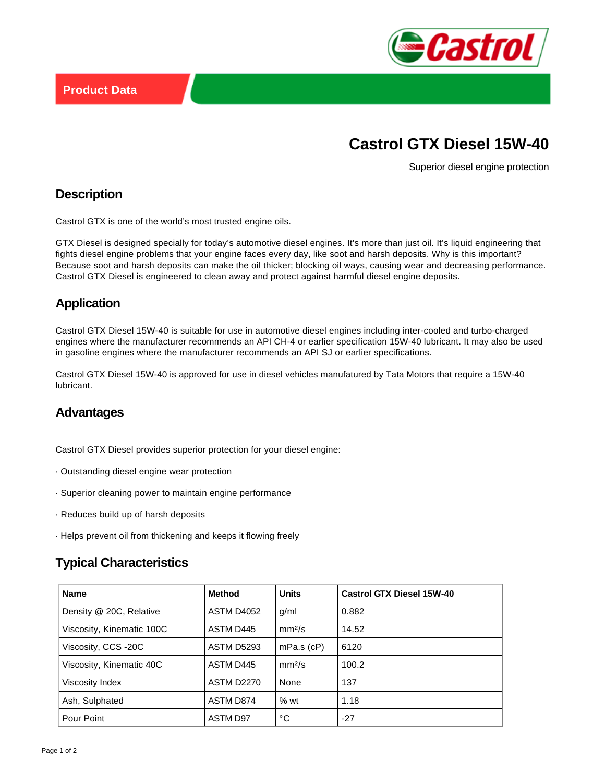

# **Castrol GTX Diesel 15W-40**

Superior diesel engine protection

#### **Description**

Castrol GTX is one of the world's most trusted engine oils.

GTX Diesel is designed specially for today's automotive diesel engines. It's more than just oil. It's liquid engineering that fights diesel engine problems that your engine faces every day, like soot and harsh deposits. Why is this important? Because soot and harsh deposits can make the oil thicker; blocking oil ways, causing wear and decreasing performance. Castrol GTX Diesel is engineered to clean away and protect against harmful diesel engine deposits.

# **Application**

Castrol GTX Diesel 15W-40 is suitable for use in automotive diesel engines including inter-cooled and turbo-charged engines where the manufacturer recommends an API CH-4 or earlier specification 15W-40 lubricant. It may also be used in gasoline engines where the manufacturer recommends an API SJ or earlier specifications.

Castrol GTX Diesel 15W-40 is approved for use in diesel vehicles manufatured by Tata Motors that require a 15W-40 lubricant.

#### **Advantages**

Castrol GTX Diesel provides superior protection for your diesel engine:

- · Outstanding diesel engine wear protection
- · Superior cleaning power to maintain engine performance
- · Reduces build up of harsh deposits
- · Helps prevent oil from thickening and keeps it flowing freely

# **Typical Characteristics**

| <b>Name</b>               | <b>Method</b>     | <b>Units</b>       | <b>Castrol GTX Diesel 15W-40</b> |
|---------------------------|-------------------|--------------------|----------------------------------|
| Density @ 20C, Relative   | ASTM D4052        | g/ml               | 0.882                            |
| Viscosity, Kinematic 100C | ASTM D445         | mm <sup>2</sup> /s | 14.52                            |
| Viscosity, CCS -20C       | <b>ASTM D5293</b> | $mPa.s$ ( $cP$ )   | 6120                             |
| Viscosity, Kinematic 40C  | ASTM D445         | mm <sup>2</sup> /s | 100.2                            |
| Viscosity Index           | <b>ASTM D2270</b> | None               | 137                              |
| Ash, Sulphated            | <b>ASTM D874</b>  | %wt                | 1.18                             |
| Pour Point                | ASTM D97          | °C                 | $-27$                            |